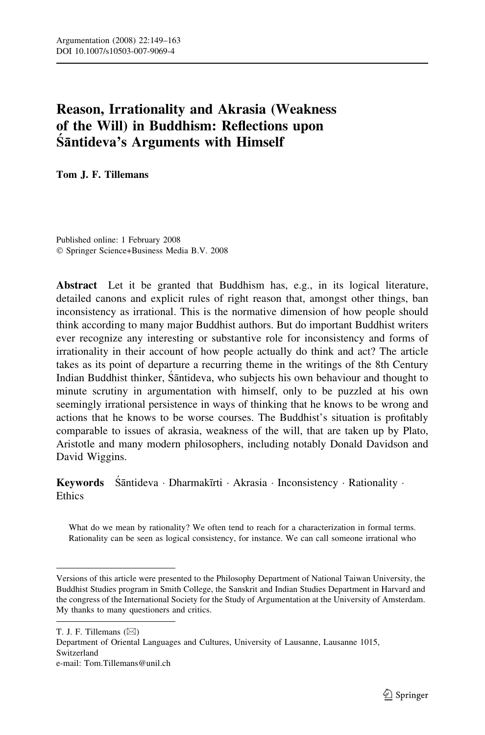# Reason, Irrationality and Akrasia (Weakness of the Will) in Buddhism: Reflections upon Santideva's Arguments with Himself

Tom J. F. Tillemans

Published online: 1 February 2008 Springer Science+Business Media B.V. 2008

Abstract Let it be granted that Buddhism has, e.g., in its logical literature, detailed canons and explicit rules of right reason that, amongst other things, ban inconsistency as irrational. This is the normative dimension of how people should think according to many major Buddhist authors. But do important Buddhist writers ever recognize any interesting or substantive role for inconsistency and forms of irrationality in their account of how people actually do think and act? The article takes as its point of departure a recurring theme in the writings of the 8th Century Indian Buddhist thinker, Santideva, who subjects his own behaviour and thought to minute scrutiny in argumentation with himself, only to be puzzled at his own seemingly irrational persistence in ways of thinking that he knows to be wrong and actions that he knows to be worse courses. The Buddhist's situation is profitably comparable to issues of akrasia, weakness of the will, that are taken up by Plato, Aristotle and many modern philosophers, including notably Donald Davidson and David Wiggins.

Keywords Sāntideva · Dharmakīrti · Akrasia · Inconsistency · Rationality · **Ethics** 

What do we mean by rationality? We often tend to reach for a characterization in formal terms. Rationality can be seen as logical consistency, for instance. We can call someone irrational who

T. J. F. Tillemans  $(\boxtimes)$ 

Department of Oriental Languages and Cultures, University of Lausanne, Lausanne 1015, Switzerland e-mail: Tom.Tillemans@unil.ch

Versions of this article were presented to the Philosophy Department of National Taiwan University, the Buddhist Studies program in Smith College, the Sanskrit and Indian Studies Department in Harvard and the congress of the International Society for the Study of Argumentation at the University of Amsterdam. My thanks to many questioners and critics.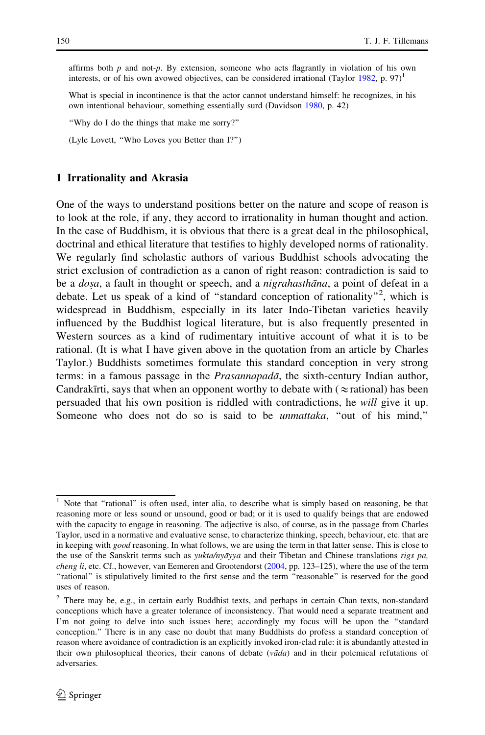affirms both  $p$  and not- $p$ . By extension, someone who acts flagrantly in violation of his own interests, or of his own avowed objectives, can be considered irrational (Taylor [1982](#page-14-0), p. 97)<sup>1</sup>

What is special in incontinence is that the actor cannot understand himself: he recognizes, in his own intentional behaviour, something essentially surd (Davidson [1980](#page-13-0), p. 42)

''Why do I do the things that make me sorry?''

(Lyle Lovett, ''Who Loves you Better than I?'')

## 1 Irrationality and Akrasia

One of the ways to understand positions better on the nature and scope of reason is to look at the role, if any, they accord to irrationality in human thought and action. In the case of Buddhism, it is obvious that there is a great deal in the philosophical, doctrinal and ethical literature that testifies to highly developed norms of rationality. We regularly find scholastic authors of various Buddhist schools advocating the strict exclusion of contradiction as a canon of right reason: contradiction is said to be a *dosa*, a fault in thought or speech, and a *nigrahasthana*, a point of defeat in a debate. Let us speak of a kind of "standard conception of rationality"<sup>2</sup>, which is widespread in Buddhism, especially in its later Indo-Tibetan varieties heavily influenced by the Buddhist logical literature, but is also frequently presented in Western sources as a kind of rudimentary intuitive account of what it is to be rational. (It is what I have given above in the quotation from an article by Charles Taylor.) Buddhists sometimes formulate this standard conception in very strong terms: in a famous passage in the  $Prasannapad\vec{a}$ , the sixth-century Indian author, Candrak $\overline{i}$ rti, says that when an opponent worthy to debate with ( $\approx$ rational) has been persuaded that his own position is riddled with contradictions, he will give it up. Someone who does not do so is said to be *unmattaka*, "out of his mind,"

<sup>&</sup>lt;sup>1</sup> Note that "rational" is often used, inter alia, to describe what is simply based on reasoning, be that reasoning more or less sound or unsound, good or bad; or it is used to qualify beings that are endowed with the capacity to engage in reasoning. The adjective is also, of course, as in the passage from Charles Taylor, used in a normative and evaluative sense, to characterize thinking, speech, behaviour, etc. that are in keeping with *good* reasoning. In what follows, we are using the term in that latter sense. This is close to the use of the Sanskrit terms such as *yukta/nyāyya* and their Tibetan and Chinese translations *rigs pa*, cheng li, etc. Cf., however, van Eemeren and Grootendorst [\(2004](#page-14-0), pp. 123-125), where the use of the term ''rational'' is stipulatively limited to the first sense and the term ''reasonable'' is reserved for the good uses of reason.

<sup>&</sup>lt;sup>2</sup> There may be, e.g., in certain early Buddhist texts, and perhaps in certain Chan texts, non-standard conceptions which have a greater tolerance of inconsistency. That would need a separate treatment and I'm not going to delve into such issues here; accordingly my focus will be upon the "standard conception.'' There is in any case no doubt that many Buddhists do profess a standard conception of reason where avoidance of contradiction is an explicitly invoked iron-clad rule: it is abundantly attested in their own philosophical theories, their canons of debate ( $\nu \bar{a} da$ ) and in their polemical refutations of adversaries.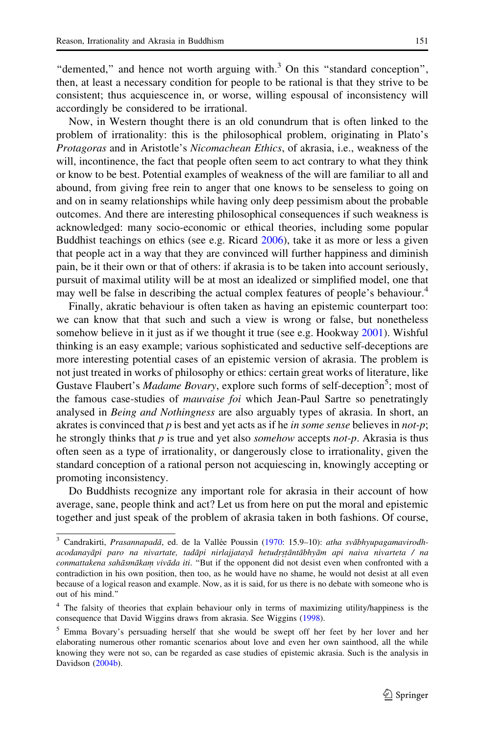"demented," and hence not worth arguing with.<sup>3</sup> On this "standard conception", then, at least a necessary condition for people to be rational is that they strive to be consistent; thus acquiescence in, or worse, willing espousal of inconsistency will accordingly be considered to be irrational.

Now, in Western thought there is an old conundrum that is often linked to the problem of irrationality: this is the philosophical problem, originating in Plato's Protagoras and in Aristotle's Nicomachean Ethics, of akrasia, i.e., weakness of the will, incontinence, the fact that people often seem to act contrary to what they think or know to be best. Potential examples of weakness of the will are familiar to all and abound, from giving free rein to anger that one knows to be senseless to going on and on in seamy relationships while having only deep pessimism about the probable outcomes. And there are interesting philosophical consequences if such weakness is acknowledged: many socio-economic or ethical theories, including some popular Buddhist teachings on ethics (see e.g. Ricard [2006\)](#page-14-0), take it as more or less a given that people act in a way that they are convinced will further happiness and diminish pain, be it their own or that of others: if akrasia is to be taken into account seriously, pursuit of maximal utility will be at most an idealized or simplified model, one that may well be false in describing the actual complex features of people's behaviour.<sup>4</sup>

Finally, akratic behaviour is often taken as having an epistemic counterpart too: we can know that that such and such a view is wrong or false, but nonetheless somehow believe in it just as if we thought it true (see e.g. Hookway [2001\)](#page-14-0). Wishful thinking is an easy example; various sophisticated and seductive self-deceptions are more interesting potential cases of an epistemic version of akrasia. The problem is not just treated in works of philosophy or ethics: certain great works of literature, like Gustave Flaubert's Madame Bovary, explore such forms of self-deception<sup>5</sup>; most of the famous case-studies of *mauvaise foi* which Jean-Paul Sartre so penetratingly analysed in Being and Nothingness are also arguably types of akrasia. In short, an akrates is convinced that  $p$  is best and yet acts as if he *in some sense* believes in *not-p*; he strongly thinks that  $p$  is true and yet also *somehow* accepts *not-p*. Akrasia is thus often seen as a type of irrationality, or dangerously close to irrationality, given the standard conception of a rational person not acquiescing in, knowingly accepting or promoting inconsistency.

Do Buddhists recognize any important role for akrasia in their account of how average, sane, people think and act? Let us from here on put the moral and epistemic together and just speak of the problem of akrasia taken in both fashions. Of course,

<sup>&</sup>lt;sup>3</sup> Candrakirti, Prasannapadā, ed. de la Vallée Poussin ([1970:](#page-13-0) 15.9-10): atha svābhyupagamavirodhacodanayāpi paro na nivartate, tadāpi nirlajjatayā hetudrstāntābhyām api naiva nivarteta / na conmattakena sahāsmākam vivāda iti. "But if the opponent did not desist even when confronted with a contradiction in his own position, then too, as he would have no shame, he would not desist at all even because of a logical reason and example. Now, as it is said, for us there is no debate with someone who is out of his mind.''

<sup>4</sup> The falsity of theories that explain behaviour only in terms of maximizing utility/happiness is the consequence that David Wiggins draws from akrasia. See Wiggins [\(1998](#page-14-0)).

<sup>5</sup> Emma Bovary's persuading herself that she would be swept off her feet by her lover and her elaborating numerous other romantic scenarios about love and even her own sainthood, all the while knowing they were not so, can be regarded as case studies of epistemic akrasia. Such is the analysis in Davidson ([2004b\)](#page-14-0).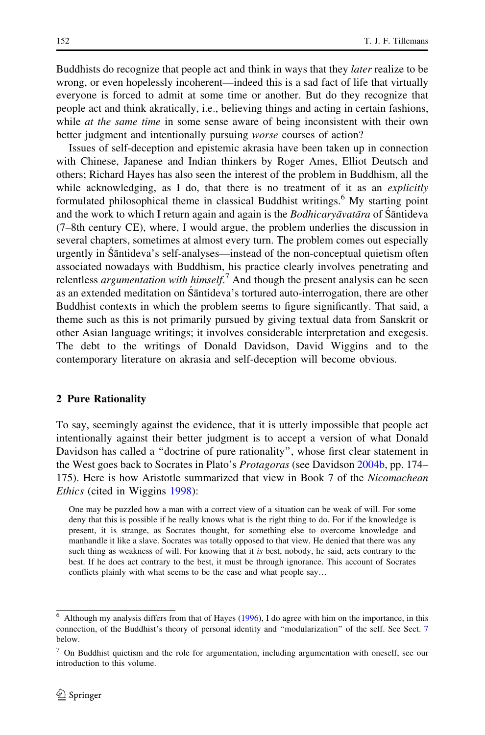Buddhists do recognize that people act and think in ways that they *later* realize to be wrong, or even hopelessly incoherent—indeed this is a sad fact of life that virtually everyone is forced to admit at some time or another. But do they recognize that people act and think akratically, i.e., believing things and acting in certain fashions, while *at the same time* in some sense aware of being inconsistent with their own better judgment and intentionally pursuing worse courses of action?

Issues of self-deception and epistemic akrasia have been taken up in connection with Chinese, Japanese and Indian thinkers by Roger Ames, Elliot Deutsch and others; Richard Hayes has also seen the interest of the problem in Buddhism, all the while acknowledging, as I do, that there is no treatment of it as an *explicitly* formulated philosophical theme in classical Buddhist writings.<sup>6</sup> My starting point and the work to which I return again and again is the *Bodhicaryāvatāra* of Sāntideva (7–8th century CE), where, I would argue, the problem underlies the discussion in several chapters, sometimes at almost every turn. The problem comes out especially urgently in Santideva's self-analyses—instead of the non-conceptual quietism often associated nowadays with Buddhism, his practice clearly involves penetrating and relentless *argumentation with himself*.<sup>7</sup> And though the present analysis can be seen as an extended meditation on Santideva's tortured auto-interrogation, there are other Buddhist contexts in which the problem seems to figure significantly. That said, a theme such as this is not primarily pursued by giving textual data from Sanskrit or other Asian language writings; it involves considerable interpretation and exegesis. The debt to the writings of Donald Davidson, David Wiggins and to the contemporary literature on akrasia and self-deception will become obvious.

## 2 Pure Rationality

To say, seemingly against the evidence, that it is utterly impossible that people act intentionally against their better judgment is to accept a version of what Donald Davidson has called a ''doctrine of pure rationality'', whose first clear statement in the West goes back to Socrates in Plato's Protagoras (see Davidson [2004b,](#page-14-0) pp. 174– 175). Here is how Aristotle summarized that view in Book 7 of the Nicomachean Ethics (cited in Wiggins [1998\)](#page-14-0):

One may be puzzled how a man with a correct view of a situation can be weak of will. For some deny that this is possible if he really knows what is the right thing to do. For if the knowledge is present, it is strange, as Socrates thought, for something else to overcome knowledge and manhandle it like a slave. Socrates was totally opposed to that view. He denied that there was any such thing as weakness of will. For knowing that it is best, nobody, he said, acts contrary to the best. If he does act contrary to the best, it must be through ignorance. This account of Socrates conflicts plainly with what seems to be the case and what people say…

 $6$  Although my analysis differs from that of Hayes [\(1996](#page-14-0)), I do agree with him on the importance, in this connection, of the Buddhist's theory of personal identity and ''modularization'' of the self. See Sect. [7](#page-11-0) below.

 $7$  On Buddhist quietism and the role for argumentation, including argumentation with oneself, see our introduction to this volume.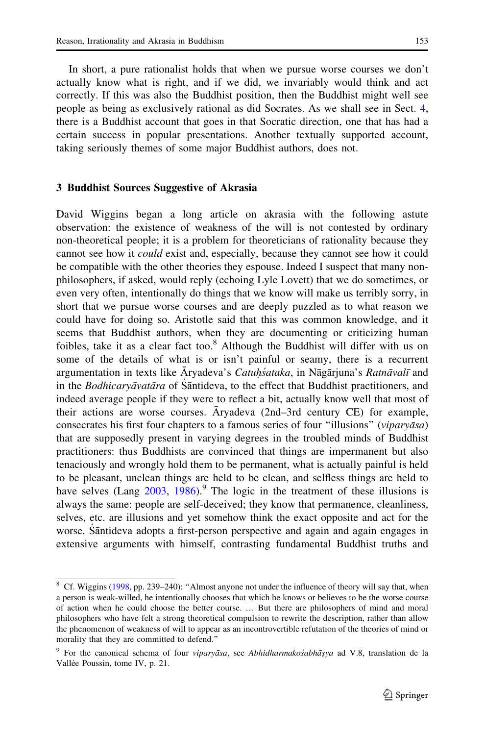<span id="page-4-0"></span>In short, a pure rationalist holds that when we pursue worse courses we don't actually know what is right, and if we did, we invariably would think and act correctly. If this was also the Buddhist position, then the Buddhist might well see people as being as exclusively rational as did Socrates. As we shall see in Sect. [4,](#page-7-0) there is a Buddhist account that goes in that Socratic direction, one that has had a certain success in popular presentations. Another textually supported account, taking seriously themes of some major Buddhist authors, does not.

## 3 Buddhist Sources Suggestive of Akrasia

David Wiggins began a long article on akrasia with the following astute observation: the existence of weakness of the will is not contested by ordinary non-theoretical people; it is a problem for theoreticians of rationality because they cannot see how it could exist and, especially, because they cannot see how it could be compatible with the other theories they espouse. Indeed I suspect that many nonphilosophers, if asked, would reply (echoing Lyle Lovett) that we do sometimes, or even very often, intentionally do things that we know will make us terribly sorry, in short that we pursue worse courses and are deeply puzzled as to what reason we could have for doing so. Aristotle said that this was common knowledge, and it seems that Buddhist authors, when they are documenting or criticizing human foibles, take it as a clear fact too. $8$  Although the Buddhist will differ with us on some of the details of what is or isn't painful or seamy, there is a recurrent argumentation in texts like Āryadeva's Catuhs'ataka, in Nāgārjuna's Ratnāvalī and in the Bodhicary $\bar{a}$ vata $\bar{a}$ ra of Santideva, to the effect that Buddhist practitioners, and indeed average people if they were to reflect a bit, actually know well that most of their actions are worse courses. Aryadeva  $(2nd-3rd$  century CE) for example, consecrates his first four chapters to a famous series of four "illusions" (viparyāsa) that are supposedly present in varying degrees in the troubled minds of Buddhist practitioners: thus Buddhists are convinced that things are impermanent but also tenaciously and wrongly hold them to be permanent, what is actually painful is held to be pleasant, unclean things are held to be clean, and selfless things are held to have selves (Lang  $2003$ , [1986\)](#page-14-0).<sup>9</sup> The logic in the treatment of these illusions is always the same: people are self-deceived; they know that permanence, cleanliness, selves, etc. are illusions and yet somehow think the exact opposite and act for the worse. Sāntideva adopts a first-person perspective and again and again engages in extensive arguments with himself, contrasting fundamental Buddhist truths and

<sup>&</sup>lt;sup>8</sup> Cf. Wiggins [\(1998](#page-14-0), pp. 239–240): "Almost anyone not under the influence of theory will say that, when a person is weak-willed, he intentionally chooses that which he knows or believes to be the worse course of action when he could choose the better course. … But there are philosophers of mind and moral philosophers who have felt a strong theoretical compulsion to rewrite the description, rather than allow the phenomenon of weakness of will to appear as an incontrovertible refutation of the theories of mind or morality that they are committed to defend.''

<sup>&</sup>lt;sup>9</sup> For the canonical schema of four viparyāsa, see Abhidharmakos´abhāṣya ad V.8, translation de la Vallée Poussin, tome IV, p. 21.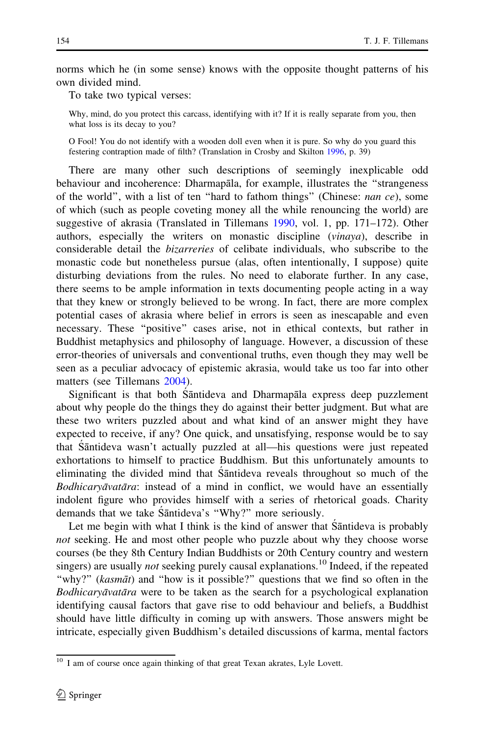norms which he (in some sense) knows with the opposite thought patterns of his own divided mind.

To take two typical verses:

Why, mind, do you protect this carcass, identifying with it? If it is really separate from you, then what loss is its decay to you?

O Fool! You do not identify with a wooden doll even when it is pure. So why do you guard this festering contraption made of filth? (Translation in Crosby and Skilton [1996](#page-13-0), p. 39)

There are many other such descriptions of seemingly inexplicable odd behaviour and incoherence: Dharmapala, for example, illustrates the "strangeness" of the world", with a list of ten "hard to fathom things" (Chinese: nan ce), some of which (such as people coveting money all the while renouncing the world) are suggestive of akrasia (Translated in Tillemans [1990](#page-14-0), vol. 1, pp. 171–172). Other authors, especially the writers on monastic discipline (vinaya), describe in considerable detail the bizarreries of celibate individuals, who subscribe to the monastic code but nonetheless pursue (alas, often intentionally, I suppose) quite disturbing deviations from the rules. No need to elaborate further. In any case, there seems to be ample information in texts documenting people acting in a way that they knew or strongly believed to be wrong. In fact, there are more complex potential cases of akrasia where belief in errors is seen as inescapable and even necessary. These ''positive'' cases arise, not in ethical contexts, but rather in Buddhist metaphysics and philosophy of language. However, a discussion of these error-theories of universals and conventional truths, even though they may well be seen as a peculiar advocacy of epistemic akrasia, would take us too far into other matters (see Tillemans [2004\)](#page-14-0).

Significant is that both Santideva and Dharmapala express deep puzzlement about why people do the things they do against their better judgment. But what are these two writers puzzled about and what kind of an answer might they have expected to receive, if any? One quick, and unsatisfying, response would be to say that Santideva wasn't actually puzzled at all—his questions were just repeated exhortations to himself to practice Buddhism. But this unfortunately amounts to eliminating the divided mind that Santideva reveals throughout so much of the Bodhicaryāvatāra: instead of a mind in conflict, we would have an essentially indolent figure who provides himself with a series of rhetorical goads. Charity demands that we take Santideva's "Why?" more seriously.

Let me begin with what I think is the kind of answer that Santideva is probably not seeking. He and most other people who puzzle about why they choose worse courses (be they 8th Century Indian Buddhists or 20th Century country and western singers) are usually *not* seeking purely causal explanations.<sup>10</sup> Indeed, if the repeated "why?" (kasmat) and "how is it possible?" questions that we find so often in the Bodhicaryāvatāra were to be taken as the search for a psychological explanation identifying causal factors that gave rise to odd behaviour and beliefs, a Buddhist should have little difficulty in coming up with answers. Those answers might be intricate, especially given Buddhism's detailed discussions of karma, mental factors

<sup>&</sup>lt;sup>10</sup> I am of course once again thinking of that great Texan akrates, Lyle Lovett.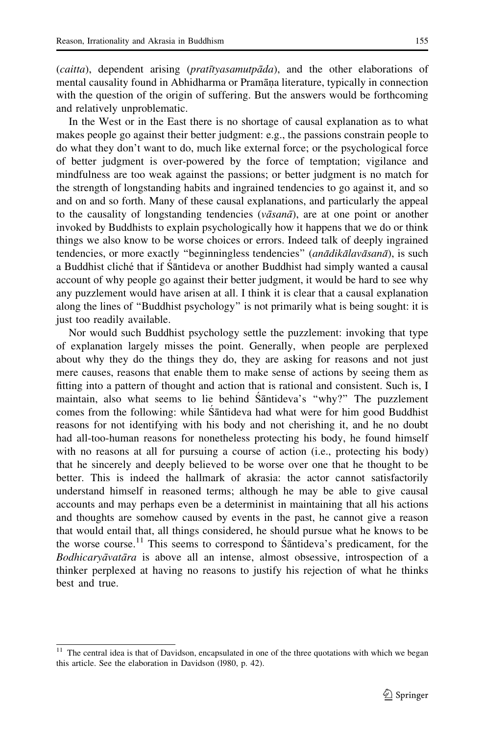$(caitta)$ , dependent arising  $(pratityasamutpāda)$ , and the other elaborations of mental causality found in Abhidharma or Pramāna literature, typically in connection with the question of the origin of suffering. But the answers would be forthcoming and relatively unproblematic.

In the West or in the East there is no shortage of causal explanation as to what makes people go against their better judgment: e.g., the passions constrain people to do what they don't want to do, much like external force; or the psychological force of better judgment is over-powered by the force of temptation; vigilance and mindfulness are too weak against the passions; or better judgment is no match for the strength of longstanding habits and ingrained tendencies to go against it, and so and on and so forth. Many of these causal explanations, and particularly the appeal to the causality of longstanding tendencies  $(v\bar{a}s\bar{a})$ , are at one point or another invoked by Buddhists to explain psychologically how it happens that we do or think things we also know to be worse choices or errors. Indeed talk of deeply ingrained tendencies, or more exactly "beginningless tendencies" (anādikālavāsanā), is such a Buddhist cliché that if Sāntideva or another Buddhist had simply wanted a causal account of why people go against their better judgment, it would be hard to see why any puzzlement would have arisen at all. I think it is clear that a causal explanation along the lines of ''Buddhist psychology'' is not primarily what is being sought: it is just too readily available.

Nor would such Buddhist psychology settle the puzzlement: invoking that type of explanation largely misses the point. Generally, when people are perplexed about why they do the things they do, they are asking for reasons and not just mere causes, reasons that enable them to make sense of actions by seeing them as fitting into a pattern of thought and action that is rational and consistent. Such is, I maintain, also what seems to lie behind Sāntideva's "why?" The puzzlement comes from the following: while Santideva had what were for him good Buddhist reasons for not identifying with his body and not cherishing it, and he no doubt had all-too-human reasons for nonetheless protecting his body, he found himself with no reasons at all for pursuing a course of action (i.e., protecting his body) that he sincerely and deeply believed to be worse over one that he thought to be better. This is indeed the hallmark of akrasia: the actor cannot satisfactorily understand himself in reasoned terms; although he may be able to give causal accounts and may perhaps even be a determinist in maintaining that all his actions and thoughts are somehow caused by events in the past, he cannot give a reason that would entail that, all things considered, he should pursue what he knows to be the worse course.<sup>11</sup> This seems to correspond to Santideva's predicament, for the Bodhicaryāvatāra is above all an intense, almost obsessive, introspection of a thinker perplexed at having no reasons to justify his rejection of what he thinks best and true.

<sup>11</sup> The central idea is that of Davidson, encapsulated in one of the three quotations with which we began this article. See the elaboration in Davidson (l980, p. 42).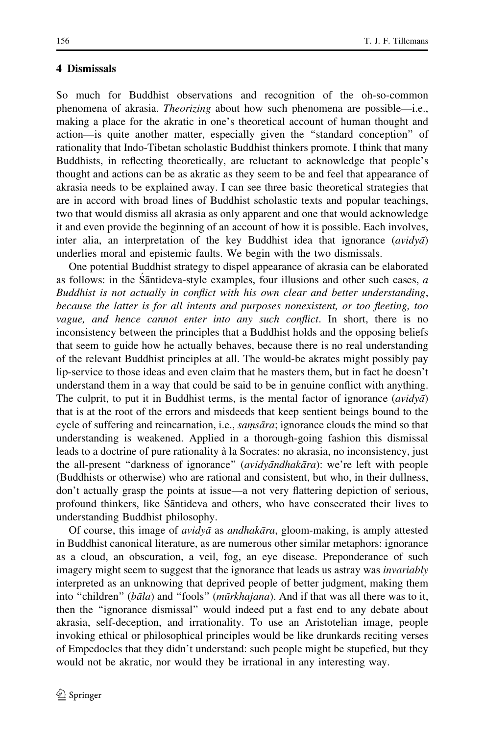## <span id="page-7-0"></span>4 Dismissals

So much for Buddhist observations and recognition of the oh-so-common phenomena of akrasia. *Theorizing* about how such phenomena are possible—i.e., making a place for the akratic in one's theoretical account of human thought and action—is quite another matter, especially given the ''standard conception'' of rationality that Indo-Tibetan scholastic Buddhist thinkers promote. I think that many Buddhists, in reflecting theoretically, are reluctant to acknowledge that people's thought and actions can be as akratic as they seem to be and feel that appearance of akrasia needs to be explained away. I can see three basic theoretical strategies that are in accord with broad lines of Buddhist scholastic texts and popular teachings, two that would dismiss all akrasia as only apparent and one that would acknowledge it and even provide the beginning of an account of how it is possible. Each involves, inter alia, an interpretation of the key Buddhist idea that ignorance  $(avidy\bar{a})$ underlies moral and epistemic faults. We begin with the two dismissals.

One potential Buddhist strategy to dispel appearance of akrasia can be elaborated as follows: in the Santideva-style examples, four illusions and other such cases,  $a$ Buddhist is not actually in conflict with his own clear and better understanding, because the latter is for all intents and purposes nonexistent, or too fleeting, too vague, and hence cannot enter into any such conflict. In short, there is no inconsistency between the principles that a Buddhist holds and the opposing beliefs that seem to guide how he actually behaves, because there is no real understanding of the relevant Buddhist principles at all. The would-be akrates might possibly pay lip-service to those ideas and even claim that he masters them, but in fact he doesn't understand them in a way that could be said to be in genuine conflict with anything. The culprit, to put it in Buddhist terms, is the mental factor of ignorance  $(avid\gamma\bar{a})$ that is at the root of the errors and misdeeds that keep sentient beings bound to the cycle of suffering and reincarnation, i.e.,  $samsāra$ ; ignorance clouds the mind so that understanding is weakened. Applied in a thorough-going fashion this dismissal leads to a doctrine of pure rationality a` la Socrates: no akrasia, no inconsistency, just the all-present "darkness of ignorance" (avidyāndhakāra): we're left with people (Buddhists or otherwise) who are rational and consistent, but who, in their dullness, don't actually grasp the points at issue—a not very flattering depiction of serious, profound thinkers, like Santideva and others, who have consecrated their lives to understanding Buddhist philosophy.

Of course, this image of *avidya* as *andhakara*, gloom-making, is amply attested in Buddhist canonical literature, as are numerous other similar metaphors: ignorance as a cloud, an obscuration, a veil, fog, an eye disease. Preponderance of such imagery might seem to suggest that the ignorance that leads us astray was invariably interpreted as an unknowing that deprived people of better judgment, making them into "children" (bāla) and "fools" (mūrkhajana). And if that was all there was to it, then the ''ignorance dismissal'' would indeed put a fast end to any debate about akrasia, self-deception, and irrationality. To use an Aristotelian image, people invoking ethical or philosophical principles would be like drunkards reciting verses of Empedocles that they didn't understand: such people might be stupefied, but they would not be akratic, nor would they be irrational in any interesting way.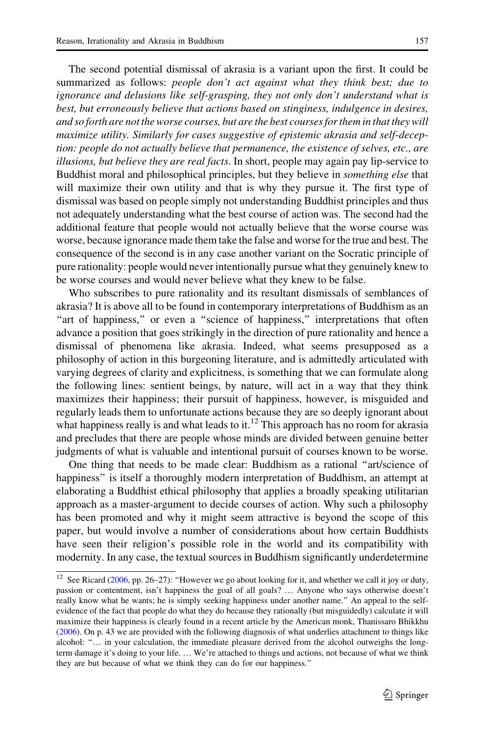The second potential dismissal of akrasia is a variant upon the first. It could be summarized as follows: *people don't act against what they think best; due to* ignorance and delusions like self-grasping, they not only don't understand what is best, but erroneously believe that actions based on stinginess, indulgence in desires, and so forth are not the worse courses, but are the best courses for them in that they will maximize utility. Similarly for cases suggestive of epistemic akrasia and self-deception: people do not actually believe that permanence, the existence of selves, etc., are illusions, but believe they are real facts. In short, people may again pay lip-service to Buddhist moral and philosophical principles, but they believe in something else that will maximize their own utility and that is why they pursue it. The first type of dismissal was based on people simply not understanding Buddhist principles and thus not adequately understanding what the best course of action was. The second had the additional feature that people would not actually believe that the worse course was worse, because ignorance made them take the false and worse for the true and best. The consequence of the second is in any case another variant on the Socratic principle of pure rationality: people would never intentionally pursue what they genuinely knew to be worse courses and would never believe what they knew to be false.

Who subscribes to pure rationality and its resultant dismissals of semblances of akrasia? It is above all to be found in contemporary interpretations of Buddhism as an ''art of happiness,'' or even a ''science of happiness,'' interpretations that often advance a position that goes strikingly in the direction of pure rationality and hence a dismissal of phenomena like akrasia. Indeed, what seems presupposed as a philosophy of action in this burgeoning literature, and is admittedly articulated with varying degrees of clarity and explicitness, is something that we can formulate along the following lines: sentient beings, by nature, will act in a way that they think maximizes their happiness; their pursuit of happiness, however, is misguided and regularly leads them to unfortunate actions because they are so deeply ignorant about what happiness really is and what leads to it.<sup>12</sup> This approach has no room for akrasia and precludes that there are people whose minds are divided between genuine better judgments of what is valuable and intentional pursuit of courses known to be worse.

One thing that needs to be made clear: Buddhism as a rational ''art/science of happiness'' is itself a thoroughly modern interpretation of Buddhism, an attempt at elaborating a Buddhist ethical philosophy that applies a broadly speaking utilitarian approach as a master-argument to decide courses of action. Why such a philosophy has been promoted and why it might seem attractive is beyond the scope of this paper, but would involve a number of considerations about how certain Buddhists have seen their religion's possible role in the world and its compatibility with modernity. In any case, the textual sources in Buddhism significantly underdetermine

<sup>&</sup>lt;sup>12</sup> See Ricard [\(2006,](#page-14-0) pp. 26–27): "However we go about looking for it, and whether we call it joy or duty, passion or contentment, isn't happiness the goal of all goals? … Anyone who says otherwise doesn't really know what he wants; he is simply seeking happiness under another name.'' An appeal to the selfevidence of the fact that people do what they do because they rationally (but misguidedly) calculate it will maximize their happiness is clearly found in a recent article by the American monk, Thanissaro Bhikkhu ([2006\)](#page-14-0). On p. 43 we are provided with the following diagnosis of what underlies attachment to things like alcohol: ''… in your calculation, the immediate pleasure derived from the alcohol outweighs the longterm damage it's doing to your life. … We're attached to things and actions, not because of what we think they are but because of what we think they can do for our happiness.''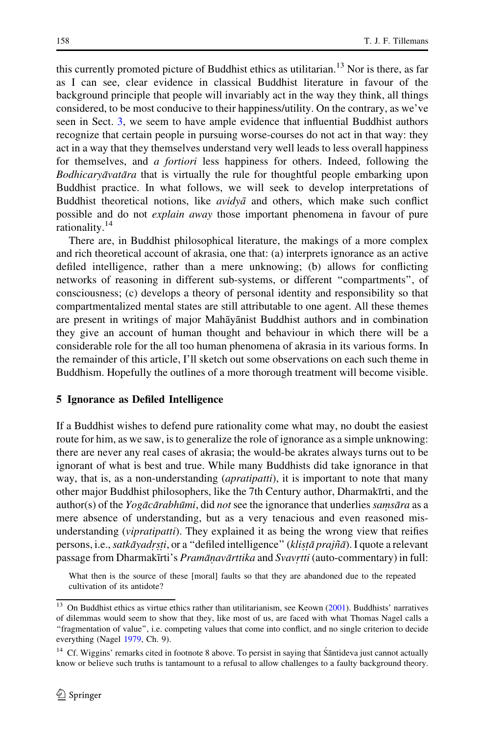<span id="page-9-0"></span>this currently promoted picture of Buddhist ethics as utilitarian.<sup>13</sup> Nor is there, as far as I can see, clear evidence in classical Buddhist literature in favour of the background principle that people will invariably act in the way they think, all things considered, to be most conducive to their happiness/utility. On the contrary, as we've seen in Sect. [3](#page-4-0), we seem to have ample evidence that influential Buddhist authors recognize that certain people in pursuing worse-courses do not act in that way: they act in a way that they themselves understand very well leads to less overall happiness for themselves, and a fortiori less happiness for others. Indeed, following the Bodhicaryāvatāra that is virtually the rule for thoughtful people embarking upon Buddhist practice. In what follows, we will seek to develop interpretations of Buddhist theoretical notions, like  $avidv\bar{a}$  and others, which make such conflict possible and do not explain away those important phenomena in favour of pure rationality.<sup>14</sup>

There are, in Buddhist philosophical literature, the makings of a more complex and rich theoretical account of akrasia, one that: (a) interprets ignorance as an active defiled intelligence, rather than a mere unknowing; (b) allows for conflicting networks of reasoning in different sub-systems, or different ''compartments'', of consciousness; (c) develops a theory of personal identity and responsibility so that compartmentalized mental states are still attributable to one agent. All these themes are present in writings of major Mahayanist Buddhist authors and in combination they give an account of human thought and behaviour in which there will be a considerable role for the all too human phenomena of akrasia in its various forms. In the remainder of this article, I'll sketch out some observations on each such theme in Buddhism. Hopefully the outlines of a more thorough treatment will become visible.

## 5 Ignorance as Defiled Intelligence

If a Buddhist wishes to defend pure rationality come what may, no doubt the easiest route for him, as we saw, is to generalize the role of ignorance as a simple unknowing: there are never any real cases of akrasia; the would-be akrates always turns out to be ignorant of what is best and true. While many Buddhists did take ignorance in that way, that is, as a non-understanding *(apratipatti)*, it is important to note that many other major Buddhist philosophers, like the 7th Century author, Dharmakīrti, and the author(s) of the *Yogācārabhūmi*, did not see the ignorance that underlies *samsāra* as a mere absence of understanding, but as a very tenacious and even reasoned misunderstanding (vipratipatti). They explained it as being the wrong view that reifies persons, i.e., *satkāyadrsti*, or a "defiled intelligence" (klistā prajnã). I quote a relevant passage from Dharmakīrti's Pramāņavārttika and Svavrtti (auto-commentary) in full:

What then is the source of these [moral] faults so that they are abandoned due to the repeated cultivation of its antidote?

 $13$  On Buddhist ethics as virtue ethics rather than utilitarianism, see Keown ([2001\)](#page-14-0). Buddhists' narratives of dilemmas would seem to show that they, like most of us, are faced with what Thomas Nagel calls a ''fragmentation of value'', i.e. competing values that come into conflict, and no single criterion to decide everything (Nagel [1979](#page-14-0), Ch. 9).

 $14$  Cf. Wiggins' remarks cited in footnote 8 above. To persist in saying that Santideva just cannot actually know or believe such truths is tantamount to a refusal to allow challenges to a faulty background theory.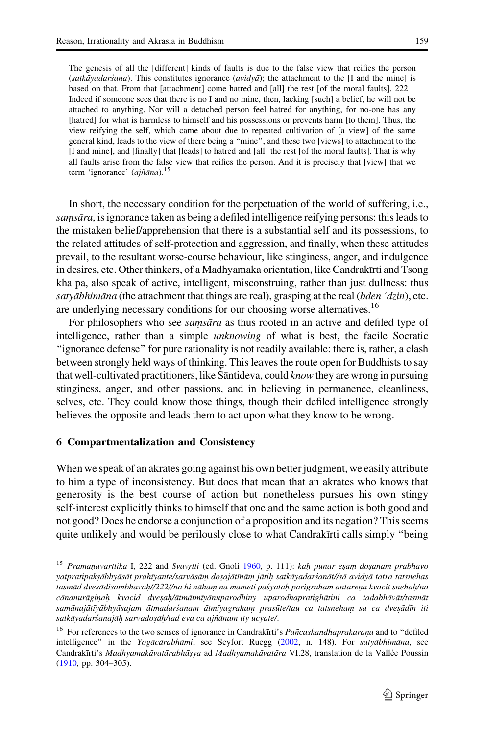The genesis of all the [different] kinds of faults is due to the false view that reifies the person (satkāyadars´ana). This constitutes ignorance (avidyā); the attachment to the [I and the mine] is based on that. From that [attachment] come hatred and [all] the rest [of the moral faults]. 222 Indeed if someone sees that there is no I and no mine, then, lacking [such] a belief, he will not be attached to anything. Nor will a detached person feel hatred for anything, for no-one has any [hatred] for what is harmless to himself and his possessions or prevents harm [to them]. Thus, the view reifying the self, which came about due to repeated cultivation of [a view] of the same general kind, leads to the view of there being a ''mine'', and these two [views] to attachment to the [I and mine], and [finally] that [leads] to hatred and [all] the rest [of the moral faults]. That is why all faults arise from the false view that reifies the person. And it is precisely that [view] that we term 'ignorance' (ajñāna).<sup>15</sup>

In short, the necessary condition for the perpetuation of the world of suffering, i.e., samsāra, is ignorance taken as being a defiled intelligence reifying persons: this leads to the mistaken belief/apprehension that there is a substantial self and its possessions, to the related attitudes of self-protection and aggression, and finally, when these attitudes prevail, to the resultant worse-course behaviour, like stinginess, anger, and indulgence in desires, etc. Other thinkers, of a Madhyamaka orientation, like Candrak¯ırti and Tsong kha pa, also speak of active, intelligent, misconstruing, rather than just dullness: thus satyābhimāna (the attachment that things are real), grasping at the real (bden 'dzin), etc. are underlying necessary conditions for our choosing worse alternatives.<sup>16</sup>

For philosophers who see *samsāra* as thus rooted in an active and defiled type of intelligence, rather than a simple unknowing of what is best, the facile Socratic ''ignorance defense'' for pure rationality is not readily available: there is, rather, a clash between strongly held ways of thinking. This leaves the route open for Buddhists to say that well-cultivated practitioners, like Santideva, could know they are wrong in pursuing stinginess, anger, and other passions, and in believing in permanence, cleanliness, selves, etc. They could know those things, though their defiled intelligence strongly believes the opposite and leads them to act upon what they know to be wrong.

#### 6 Compartmentalization and Consistency

When we speak of an akrates going against his own better judgment, we easily attribute to him a type of inconsistency. But does that mean that an akrates who knows that generosity is the best course of action but nonetheless pursues his own stingy self-interest explicitly thinks to himself that one and the same action is both good and not good? Does he endorse a conjunction of a proposition and its negation? This seems quite unlikely and would be perilously close to what Candrak $\overline{i}$ rti calls simply "being

<sup>&</sup>lt;sup>15</sup> Pramānavārttika I, 222 and Svavrtti (ed. Gnoli [1960](#page-14-0), p. 111): kah punar esām dosānām prabhavo yatpratipakṣābhyāsāt prahīyante/sarvāsām doṣajātīnām jātiḥ satkāyadarśanāt//sā avidyā tatra tatsnehas tasmād dvesādisambhavah//222//na hi nāham na mameti paśyatah parigraham antarena kvacit snehah/na cānanurāginah kvacid dvesah/ātmātmīyānuparodhiny uparodhapratighātini ca tadabhāvāt/tasmāt samānajātīyābhyāsajam ātmadarśanam ātmīyagraham prasūte/tau ca tatsneham sa ca dvesādīn iti satkāyadarśanajāḥ sarvadoṣāḥ/tad eva ca ajñānam ity ucyate/.

<sup>&</sup>lt;sup>16</sup> For references to the two senses of ignorance in Candrakīrti's *Pañcaskandhaprakaraṇa* and to "defiled intelligence" in the Yogācārabhūmi, see Seyfort Ruegg [\(2002](#page-14-0), n. 148). For satyābhimāna, see Candrakīrti's Madhyamakāvatārabhāsya ad Madhyamakāvatāra VI.28, translation de la Vallée Poussin ([1910,](#page-13-0) pp. 304–305).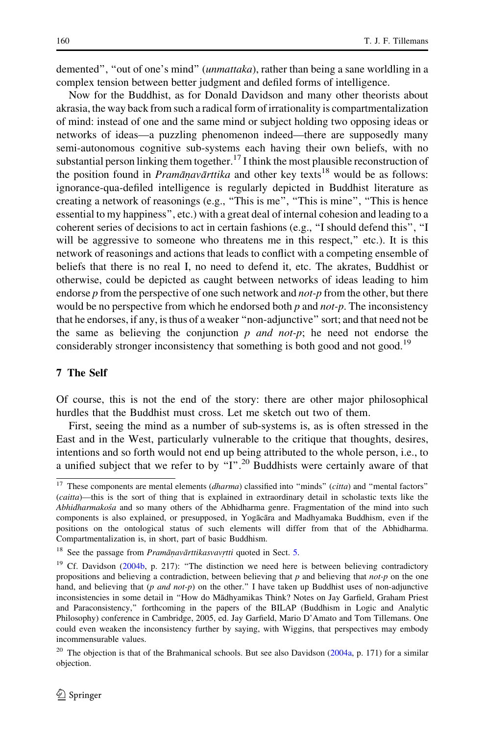<span id="page-11-0"></span>demented", "out of one's mind" *(unmattaka)*, rather than being a sane worldling in a complex tension between better judgment and defiled forms of intelligence.

Now for the Buddhist, as for Donald Davidson and many other theorists about akrasia, the way back from such a radical form of irrationality is compartmentalization of mind: instead of one and the same mind or subject holding two opposing ideas or networks of ideas—a puzzling phenomenon indeed—there are supposedly many semi-autonomous cognitive sub-systems each having their own beliefs, with no substantial person linking them together.<sup>17</sup> I think the most plausible reconstruction of the position found in *Pramānavārttika* and other key texts<sup>18</sup> would be as follows: ignorance-qua-defiled intelligence is regularly depicted in Buddhist literature as creating a network of reasonings (e.g., ''This is me'', ''This is mine'', ''This is hence essential to my happiness'', etc.) with a great deal of internal cohesion and leading to a coherent series of decisions to act in certain fashions (e.g., ''I should defend this'', ''I will be aggressive to someone who threatens me in this respect," etc.). It is this network of reasonings and actions that leads to conflict with a competing ensemble of beliefs that there is no real I, no need to defend it, etc. The akrates, Buddhist or otherwise, could be depicted as caught between networks of ideas leading to him endorse  $p$  from the perspective of one such network and *not-p* from the other, but there would be no perspective from which he endorsed both  $p$  and  $not-p$ . The inconsistency that he endorses, if any, is thus of a weaker ''non-adjunctive'' sort; and that need not be the same as believing the conjunction p and not-p; he need not endorse the considerably stronger inconsistency that something is both good and not good.<sup>19</sup>

# 7 The Self

Of course, this is not the end of the story: there are other major philosophical hurdles that the Buddhist must cross. Let me sketch out two of them.

First, seeing the mind as a number of sub-systems is, as is often stressed in the East and in the West, particularly vulnerable to the critique that thoughts, desires, intentions and so forth would not end up being attributed to the whole person, i.e., to a unified subject that we refer to by  $\cdot T$ .<sup>20</sup> Buddhists were certainly aware of that

 $17$  These components are mental elements (*dharma*) classified into "minds" (*citta*) and "mental factors" (caitta)—this is the sort of thing that is explained in extraordinary detail in scholastic texts like the Abhidharmakośa and so many others of the Abhidharma genre. Fragmentation of the mind into such components is also explained, or presupposed, in Yogācāra and Madhyamaka Buddhism, even if the positions on the ontological status of such elements will differ from that of the Abhidharma. Compartmentalization is, in short, part of basic Buddhism.

 $18$  See the passage from *Pramānavārttikasvavrtti* quoted in Sect. [5.](#page-9-0)

<sup>&</sup>lt;sup>19</sup> Cf. Davidson  $(2004b, p. 217)$  $(2004b, p. 217)$ : "The distinction we need here is between believing contradictory propositions and believing a contradiction, between believing that  $p$  and believing that *not-p* on the one hand, and believing that  $(p \text{ and } not-p)$  on the other." I have taken up Buddhist uses of non-adjunctive inconsistencies in some detail in "How do Mādhyamikas Think? Notes on Jay Garfield, Graham Priest and Paraconsistency,'' forthcoming in the papers of the BILAP (Buddhism in Logic and Analytic Philosophy) conference in Cambridge, 2005, ed. Jay Garfield, Mario D'Amato and Tom Tillemans. One could even weaken the inconsistency further by saying, with Wiggins, that perspectives may embody incommensurable values.

<sup>&</sup>lt;sup>20</sup> The objection is that of the Brahmanical schools. But see also Davidson ([2004a,](#page-14-0) p. 171) for a similar objection.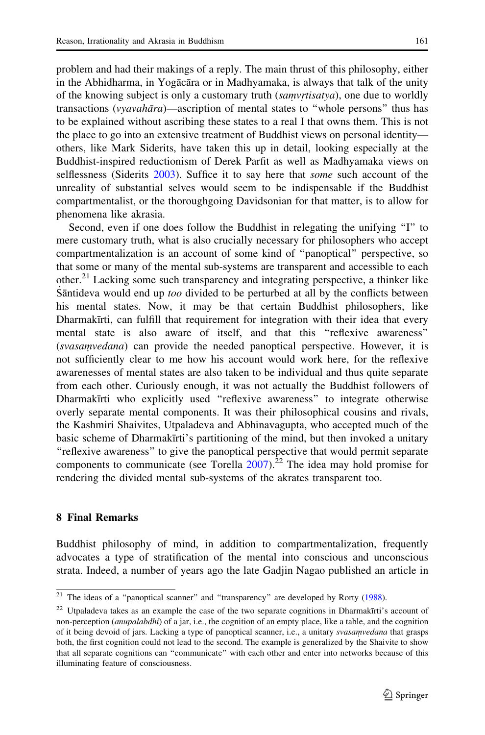problem and had their makings of a reply. The main thrust of this philosophy, either in the Abhidharma, in Yogācāra or in Madhyamaka, is always that talk of the unity of the knowing subject is only a customary truth (samvrtisatya), one due to worldly transactions (*vyavahāra*)—ascription of mental states to "whole persons" thus has to be explained without ascribing these states to a real I that owns them. This is not the place to go into an extensive treatment of Buddhist views on personal identity others, like Mark Siderits, have taken this up in detail, looking especially at the Buddhist-inspired reductionism of Derek Parfit as well as Madhyamaka views on selflessness (Siderits [2003](#page-14-0)). Suffice it to say here that some such account of the unreality of substantial selves would seem to be indispensable if the Buddhist compartmentalist, or the thoroughgoing Davidsonian for that matter, is to allow for phenomena like akrasia.

Second, even if one does follow the Buddhist in relegating the unifying "I" to mere customary truth, what is also crucially necessary for philosophers who accept compartmentalization is an account of some kind of ''panoptical'' perspective, so that some or many of the mental sub-systems are transparent and accessible to each other.<sup>21</sup> Lacking some such transparency and integrating perspective, a thinker like Santideva would end up too divided to be perturbed at all by the conflicts between his mental states. Now, it may be that certain Buddhist philosophers, like Dharmakīrti, can fulfill that requirement for integration with their idea that every mental state is also aware of itself, and that this ''reflexive awareness'' (svasamvedana) can provide the needed panoptical perspective. However, it is not sufficiently clear to me how his account would work here, for the reflexive awarenesses of mental states are also taken to be individual and thus quite separate from each other. Curiously enough, it was not actually the Buddhist followers of Dharmakūrti who explicitly used "reflexive awareness" to integrate otherwise overly separate mental components. It was their philosophical cousins and rivals, the Kashmiri Shaivites, Utpaladeva and Abhinavagupta, who accepted much of the basic scheme of Dharmakūrti's partitioning of the mind, but then invoked a unitary ''reflexive awareness'' to give the panoptical perspective that would permit separate components to communicate (see Torella  $2007$ ).<sup>22</sup> The idea may hold promise for rendering the divided mental sub-systems of the akrates transparent too.

## 8 Final Remarks

Buddhist philosophy of mind, in addition to compartmentalization, frequently advocates a type of stratification of the mental into conscious and unconscious strata. Indeed, a number of years ago the late Gadjin Nagao published an article in

 $21$  The ideas of a "panoptical scanner" and "transparency" are developed by Rorty [\(1988](#page-14-0)).

 $22$  Utpaladeva takes as an example the case of the two separate cognitions in Dharmakīrti's account of non-perception *(anupalabdhi)* of a jar, i.e., the cognition of an empty place, like a table, and the cognition of it being devoid of jars. Lacking a type of panoptical scanner, i.e., a unitary svasamvedana that grasps both, the first cognition could not lead to the second. The example is generalized by the Shaivite to show that all separate cognitions can ''communicate'' with each other and enter into networks because of this illuminating feature of consciousness.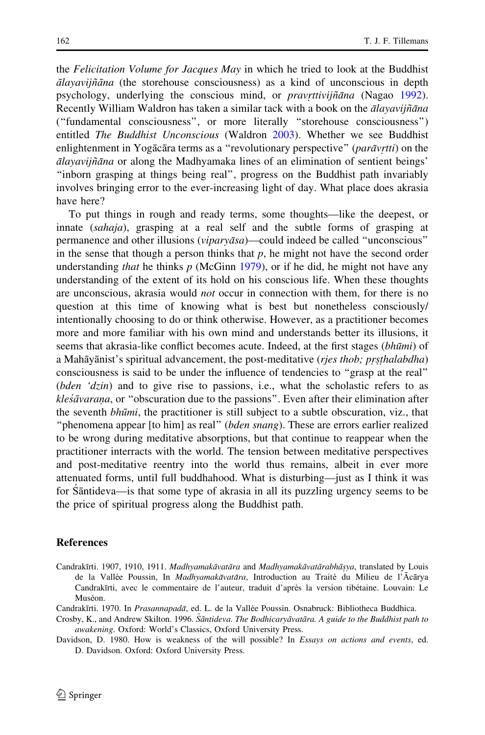<span id="page-13-0"></span>the Felicitation Volume for Jacques May in which he tried to look at the Buddhist  $\bar{a}$ layavij $\tilde{n}$ ana (the storehouse consciousness) as a kind of unconscious in depth psychology, underlying the conscious mind, or *pravrttivijñāna* (Nagao [1992\)](#page-14-0). Recently William Waldron has taken a similar tack with a book on the  $\bar{a}$ layavij $\tilde{n}$ ana (''fundamental consciousness'', or more literally ''storehouse consciousness'') entitled The Buddhist Unconscious (Waldron [2003](#page-14-0)). Whether we see Buddhist enlightenment in Yogācāra terms as a "revolutionary perspective" (*parãvrtti*) on the  $\bar{a}$ layavij $\tilde{n}$ ana or along the Madhyamaka lines of an elimination of sentient beings' ''inborn grasping at things being real'', progress on the Buddhist path invariably involves bringing error to the ever-increasing light of day. What place does akrasia have here?

To put things in rough and ready terms, some thoughts—like the deepest, or innate (sahaja), grasping at a real self and the subtle forms of grasping at permanence and other illusions (viparyāsa)—could indeed be called "unconscious" in the sense that though a person thinks that  $p$ , he might not have the second order understanding *that* he thinks p (McGinn [1979\)](#page-14-0), or if he did, he might not have any understanding of the extent of its hold on his conscious life. When these thoughts are unconscious, akrasia would not occur in connection with them, for there is no question at this time of knowing what is best but nonetheless consciously/ intentionally choosing to do or think otherwise. However, as a practitioner becomes more and more familiar with his own mind and understands better its illusions, it seems that akrasia-like conflict becomes acute. Indeed, at the first stages (bhūmi) of a Mahāyānist's spiritual advancement, the post-meditative (rjes thob; prsthalabdha) consciousness is said to be under the influence of tendencies to ''grasp at the real''  $(bden 'dzin)$  and to give rise to passions, i.e., what the scholastic refers to as  $kle'sāvarana$ , or "obscuration due to the passions". Even after their elimination after the seventh  $bhūmi$ , the practitioner is still subject to a subtle obscuration, viz., that "phenomena appear [to him] as real" (bden snang). These are errors earlier realized to be wrong during meditative absorptions, but that continue to reappear when the practitioner interracts with the world. The tension between meditative perspectives and post-meditative reentry into the world thus remains, albeit in ever more attenuated forms, until full buddhahood. What is disturbing—just as I think it was for Santideva—is that some type of akrasia in all its puzzling urgency seems to be the price of spiritual progress along the Buddhist path.

#### References

Candrakīrti. 1907, 1910, 1911. Madhyamakāvatāra and Madhyamakāvatārabhāsya, translated by Louis de la Vallée Poussin, In *Madhyamakāvatāra*, Introduction au Traité du Milieu de l'Ācārya Candrakīrti, avec le commentaire de l'auteur, traduit d'après la version tibétaine. Louvain: Le Muséon.

Candrakīrti. 1970. In Prasannapadā, ed. L. de la Vallée Poussin. Osnabruck: Bibliotheca Buddhica.

Crosby, K., and Andrew Skilton. 1996. Sāntideva. The Bodhicaryāvatāra. A guide to the Buddhist path to awakening. Oxford: World's Classics, Oxford University Press.

Davidson, D. 1980. How is weakness of the will possible? In *Essays on actions and events*, ed. D. Davidson. Oxford: Oxford University Press.